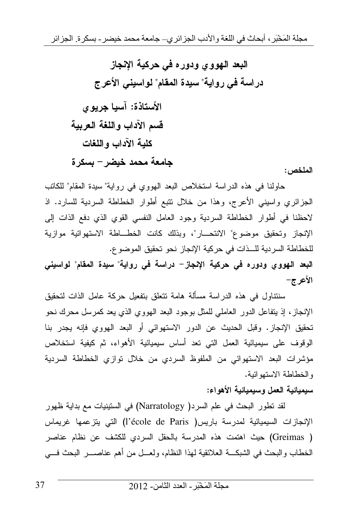البعد الـهوو ي ودور ه في حركية الإنجاز دراسة في رواية" سيدة المقام" لواسيني الأعرج الأستاذة: آسيا جريوي قسم الآداب واللغة العربية كلية الآداب واللغات جامعة محمد خيضر – بسكر ة

الملخص:

حاولنا في هذه الدراسة استخلاص البعد الهووى في رواية" سيدة المقام" للكاتب الجزائري واسيني الأعرج، وهذا من خلال نتبع أطوار الخطاطة السردية للسارد. اذ لاحظنا في أطوار الخطاطة السردية وجود العامل النفسي القوي الذي دفع الذات إلى الإنجاز وتحقيق موضوع" الانتحـــار"، وبذلك كانت الخطـــاطة الاستهوائية موازية للخطاطة السردية للــذات في حركية الإنجاز نحو تحقيق الموضوع. البعد الهووى ودوره فى حركية الإنجاز– دراسة فى رواية" سيدة المقام" لواسينى

الأعرج–

سنتناول في هذه الدراسة مسألة هامة تتعلق بتفعيل حركة عامل الذات لتحقيق الإنجاز ، إذ يتفاعل الدور العاملي للمثل بوجود البعد الهووي الذي يعد كمرسل محرك نحو تحقيق الإنجاز . وقبل الحديث عن الدور الاستهوائي أو البعد الهووى فإنه يجدر بنا الوقوف على سيميائية العمل التي نعد أساس سيميائية الأهواء، ثم كيفية استخلاص مؤشرات البعد الاستهوائي من الملفوظ السردي من خلال توازي الخطاطة السردية و الخطاطة الاستهو ائية.

## سبمبائية العمل وسيميائية الأهواء:

لقد نطور البحث في علم السرد( Narratology) في الستينيات مع بداية ظهور الإنجازات السيميائية لمدرسة باريس( l'école de Paris) التي يتزعمها غريماس ( Greimas) حيث اهتمت هذه المدرسة بالحقل السردي للكشف عن نظام عناصر الخطاب والبحث في الشبكـــة العلائقية لـهذا النظام، ولعـــل من أهم عناصـــــر البحث فــــي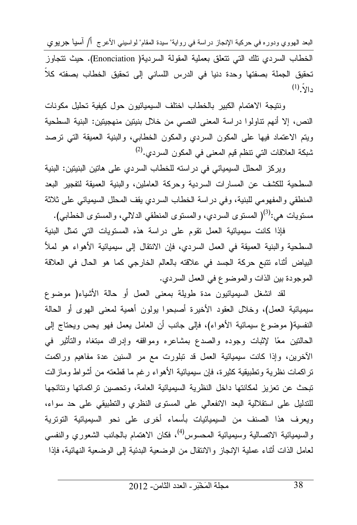البعد الـهووي ودوره فـى حركية الإنـجاز دراسة فـى رواية" سيدة المقام" لواسينـى الأعرج أ/ آسنيا جريوي الخطاب السردي تلك التي تتعلَّق بعملية المقولة السردية( Enonciation). حيث تتجاوز تحقيق الجملة بصفتها وحدة دنيا في الدرس اللساني إلى تحقيق الخطاب بصفته كلا  $(1)$  دالا

ونتيجة الاهتمام الكبير بالخطاب اختلف السيميائيون حول كيفية تحليل مكونات النص، إلا أنهم نتاولوا دراسة المعنى النصبي من خلال بنيتين منهجيتين: البنية السطحية ويتم الاعتماد فيها على المكون السردي والمكون الخطابي، والبنية العميقة التي نرصد شبكة العلاقات التي نتظم قيم المعنى في المكون السردي.<sup>(2)</sup>

ويركز المحلل السيميائي في دراسته للخطاب السردي على هاتين البنيتين: البنية السطحية للكشف عن المسارات السردية وحركة العاملين، والبنية العميقة لتفجير البعد المنطقى والمفهومي للبنية، وفي دراسة الخطاب السردي يقف المحلل السيميائي على ثلاثة مستويات هي:<sup>(3)</sup>( المستوى السردي، والمستوى المنطقى الدلالي، والمستوى الخطابي).

فإذا كانت سيميائية العمل تقوم على دراسة هذه المستويات التي تمثل البنية السطحية والبنية العميقة في العمل السردي، فإن الانتقال إلى سيميائية الأهواء هو لملأ البياض أثناء نتبع حركة الجسد في علاقته بالعالم الخارجي كما هو الحال في العلاقة الموجودة بين الذات والموضوع في العمل السردي.

لقد انشغل السيميائيون مدة طويلة بمعنى العمل أو حالة الأشياء( موضوع سيميائية العمل)، وخلال العقود الأخيرة أصبحوا يولون أهمية لمعنى الهوى أو الحالة النفسية( موضوع سيمائية الأهواء)، فإلى جانب أن العامل يعمل فهو يحس ويحتاج إلى الحالنين معًا لإثبات وجوده والصدع بمشاعره ومواقفه وإدراك مبتغاه والنأثير في الأخرين، وإذا كانت سيميائية العمل قد نبلورت مع مر السنين عدة مفاهيع وراكمت تراكمات نظرية وتطبيقية كثيرة، فإن سيميائية الأهواء رغم ما قطعته من أشواط ومازالت تبحث عن نعزيز لمكانتها داخل النظرية السيميائية العامة، وتحصين تراكماتها ونتائجها للتدليل على استقلالية البعد الانفعالي على المستوى النظري والتطبيقي على حد سواء، ويعرف هذا الصنف من السيميائيات بأسماء أخرى على نحو السيميائية التوترية والسيميائية الاتصالية وسيميائية المحسوس<sup>(4)</sup>، فكان الاهتمام بالجانب الشعوري والنفسي لعامل الذات أثناء عملية الإنجاز والانتقال من الوضعية البدئية إلى الوضعية النهائية، فإذا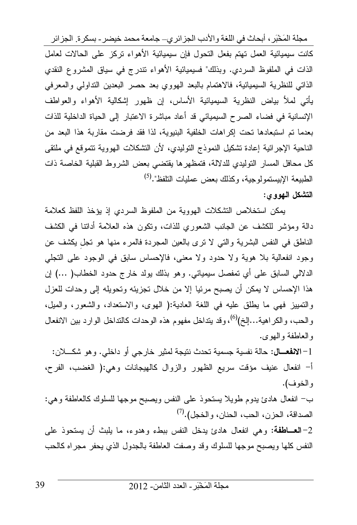مجلة المَخْبَرِ ، أبحاث في اللغة والأدب الجزائري\_ جامعة محمد خيضر ـ بسكرة الجزائر

كانت سيميائية العمل تهتم بفعل التحول فإن سيميائية الأهواء نركز على الحالات لعامل الذات في الملفوظ السردي. وبذلك" فسيميائية الأهواء نتدرج في سياق المشروع النقدي الذاتي للنظرية السيميائية، فالاهتمام بالبعد الهووي بعد حصر البعدين التداولي والمعرفي يأتـى لمـلأ بياض النظرية السيميائية الأساس، إن ظـهور إشكالية الأهواء والعواطف الإنسانية في فضاء الصرح السيميائي قد أعاد مباشرة الاعتبار إلى الحياة الداخلية للذات بعدما تم استبعادها تحت إكراهات الخلفية البنيوية، لذا فقد فرضت مقاربة هذا البعد من الناحية الإجرائية إعادة نشكيل النموذج التوليدي، لأن النشكلات الهووية نتموقع في ملتقى كل محافل المسار التوليدي للدلالة، فتمظهرها يقتضىي بعض الشروط القبلية الخاصة ذات الطبيعة الإبيستمولوجية، وكذلك بعض عمليات التلفظ".<sup>(5)</sup>

## التشكل الـهووى:

يمكن استخلاص التشكلات الهووية من الملفوظ السردي إذ يؤخذ اللفظ كعلامة دالة ومؤشر للكشف عن الجانب الشعوري للذات، ونكون هذه العلامة أداننا في الكشف الناطق في النفس البشرية والتي لا نرى بالعين المجردة فالمرء منها هو نجل بكشف عن وجود انفعالية بلا هوية ولا حدود ولا معنى، فالإحساس سابق في الوجود على التجلي الدلالي السابق على أي تمفصل سيميائي. وهو بذلك يولد خارج حدود الخطاب( …) إن هذا الإحساس لا يمكن أن يصبح مرئيا إلا من خلال نجزيئه ونحويله إلى وحدات للعزل والتمييز فهي ما يطلق عليه في اللغة العادية:( الهوى، والاستعداد، والشعور، والميل، والحب، والكراهية…إلخ)(<sup>6)</sup>، وقد يتداخل مفهوم هذه الوحدات كالنداخل الوارد بين الانفعال والعاطفة والبوى.

1–الا**نفعـــال:** حالـة نفسية جسمية تحدث نتيجة لمثير خارجي أو داخلي. وهو شكــــلان: أ– انفعال عنيف مؤقت سريع الظهور والزوال كالهيجانات وهي:( الغضب، الفرح، والخوف).

ب– انفعال هادئ بدوم طويلا يستحوذ على النفس ويصبح موجها للسلوك كالعاطفة وهي: الصداقة، الحزن، الحب، الحنان، و الخجل).<sup>(7)</sup>

2–العــاطفة: وهي انفعال هادئ يدخل النفس ببطء وهدوء، ما يلبث أن يستحوذ على النفس كلها ويصبح موجها للسلوك وقد وصفت العاطفة بالجدول الذي يحفر مجراه كالحب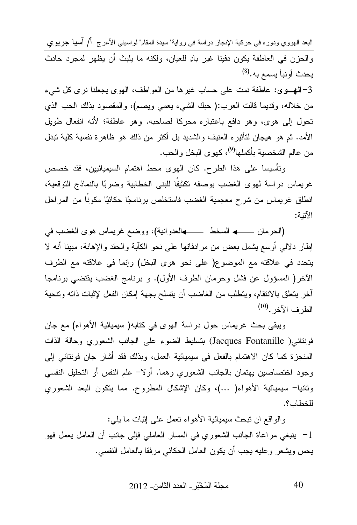البعد الـهووي ودوره في حركية الإنجاز دراسة في رواية" سيدة المقام" لواسيني الأعرج أ/ آسيا جريوي والحزن في العاطفة يكون دفينا غير بادِ للعيان، ولكنه ما يلبث أن يظهر لمجرد حادث يحدث أونبأ يسمع به.(<sup>8)</sup>

3–الهـوى: عاطفة نمت على حساب غيرها من العواطف، الهوى بجعلنا نرى كل شيء من خلاله، وقديما قالت العرب:( حبك الشيء يعمي ويصم)، والمقصود بذلك الحب الذي تحول إلى هوى، وهو دافع باعتباره محركا لصاحبه. وهو عاطفة؛ لأنه انفعال طويل الأمد. ثم هو هيجان لتأثيره العنيف والشديد بل أكثر من ذلك هو ظاهرة نفسية كلية تبدل من عالم الشخصبة بأكملها<sup>(9)</sup>، كهو ي البخل و الحب.

وتأسيسا على هذا الطرح. كان الهوى محط اهتمام السيميائيين، فقد خصص غريماس دراسة لمهوى الغضب بوصفه نكثيفا للبنبي الخطابية وضربًا بالنماذج التوقعية، انطلق غريماس من شرح معجمية الغضب فاستخلص برنامجًا حكائيًا مكونًا من المراحل الآتية:

إطار دلالي أوسع بِشمل بعض من مرادفاتها على نحو الكآبة والحقد والإهانة، مبينا أنه لا يتحدد في علاقته مع الموضوع( على نحو هوى البخل) وإنما في علاقته مع الطرف الأخر( المسؤول عن فشل وحرمان الطرف الأول). و برنامج الغضب يقتضي برنامجا أخر يتعلَّق بالانتقام، ويتطلب من الغاضب أن يتسلح بجهة إمكان الفعل لإثبات ذاته ونتحية  $^{(10)}$ . الطر ف الآخر

ويبقى بحث غريماس حول دراسة الهوى في كتابه( سيميائية الأهواء) مع جان فونتاني( Jacques Fontanille) بتسليط الضوء على الجانب الشعوري وحالة الذات المنجزة كما كان الاهتمام بالفعل في سيميائية العمل، وبذلك فقد أشار جان فونتاني إلى وجود اختصاصين يهتمان بالجانب الشعوري وهما. أولا– علم النفس أو التحليل النفسي وثانيا– سيميائية الأهواء( …)، وكان الإشكال المطروح. مما يتكون البعد الشعوري للخطاب؟.

والواقع ان نبحث سيميائية الأهواء نعمل على إنبات ما يلي: 1– ينبغي مراعاة الجانب الشعوري في المسار العاملي فإلى جانب أن العامل يعمل فهو يحس ويشعر وعليه يجب أن يكون العامل الحكائي مرفقا بالعامل النفسي.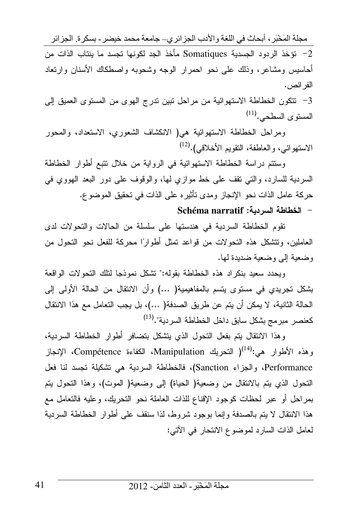مجلة المَخْبَرِ ، أبحاث في اللغة والأدب الجزائري\_ جامعة محمد خيضر ـ بسكرة الجزائر 2– نؤخذ الردود الجسدية Somatiques مأخذ الجد لكونها تجسد ما ينتاب الذات من أحاسيس ومشاعر، وذلك على نحو احمرار الوجه وشحوبه واصطكاك الأسنان وارتعاد الفر ائص.

3– نتكون الخطاطة الاستهوائية من مراحل نبين ندرج الهوى من المستوى العميق إلى المستوى السطحي.<sup>(11)</sup>

ومراحل الخطاطة الاستهوائية هي( الانكشاف الشعوري، الاستعداد، والمحور الاستهوائي، والعاطفة، النقويم الأخلاقي).<sup>(12)</sup>

وستتم دراسة الخطاطة الاستهوائية في الرواية من خلال نتبع أطوار الخطاطة السردية للسارد، والتبي نقف على خط موازي لها، والوقوف على دور البعد الهووي في حركة عامل الذات نحو الإنجاز ومدى نأثيره على الذات في تحقيق الموضوع.

## Schéma narratif :الخطاطة السريبة

تقوم الخطاطة السردية في هندستها على سلسلة من الحالات والتحولات لدى العاملين، وتتشكل هذه التحو لات من قواعد تمثل أطوارًا محركة للفعل نحو التحول من وضعية إلى وضعية ضديدة لها.

ويحدد سعيد بنكراد هذه الخطاطة بقوله:" تشكل نموذجا لنلك النحولات الواقعة بشكل تجريدي في مستوى يتسم بالمفاهيمية( ...) وأن الانتقال من الحالة الأولى إلى الحالة الثانية، لا يمكن أن يتم عن طريق الصدفة( …)، بل يجب التعامل مع هذا الانتقال كعنصر مبرمج بشكل سابق داخل الخطاطة السردية".<sup>(13)</sup>

وهذا الانتقال بتم بفعل التحول الذي بتشكل بتضافر أطوار الخطاطة السردية، وهذه الأطوار هي:<sup>(14</sup>ا التحريك Manipulation، الكفاءة Compétence، الإنجاز Performance، والجزاء Sanction)، فالخطاطة السردية هي تشكيلة تجسد لنا فعل النحول الذي يتم بالانتقال من وضعية( الحياة) إلى وضعية( الموت)، وهذا النحول يتم بمراحل أو عبر لحظات كوجود الإقناع للذات العاملة نحو التحريك، وعليه فالتعامل مع هذا الانتقال لا يتم بالصدفة وإنما بوجود شروط، لذا سنقف على أطوار الخطاطة السردية لعامل الذات السارد لموضوع الانتحار في الآتي: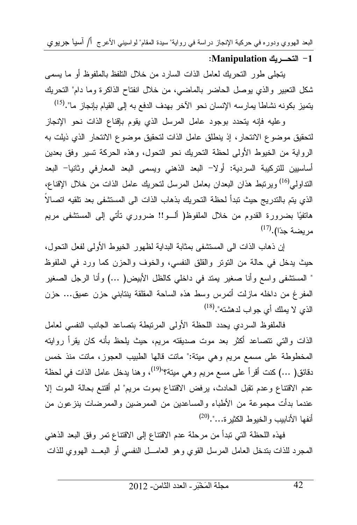البعد الـهووي ودوره في حركية الإنجاز دراسة في رواية" سيدة المقام" لواسيني الأعرج أ/ أسيا جريوي

## Manipulation للتحديك: Manipulation:

يتجلَّى طور التحريك لعامل الذات السارد من خلال التلفظ بالملفوظ أو ما يسمى شكل التعبير والذي يوصل الحاضر بالماضي، من خلال انفتاح الذاكرة وما دام" التحريك يتميز بكونه نشاطا يمارسه الإنسان نحو الآخر بهدف الدفع به إلى القيام بإنجاز ما".<sup>(15)</sup>

وعليه فإنه يتحدد بوجود عامل المرسل الذي يقوم بإقناع الذات نحو الإنجاز لتحقيق موضوع الانتحار ، إذ ينطلق عامل الذات لتحقيق موضوع الانتحار الذي ذيلت به الرواية من الخيوط الأولى لحظة التحريك نحو التحول، وهذه الحركة تسير وفق بعدين أساسيين للتركيبة السردية: أولا− البعد الذهني ويسمى البعد المعارفي وثانيا− البعد النداولي<sup>(16</sup>) ويرتبط هذان البعدان بعامل المرسل لتحريك عامل الذات من خلال الإقناع، الذي يتم بالتدريج حيث تبدأ لحظة التحريك بذهاب الذات الى المستشفى بعد تلقيه اتصالاً هاتفيًا بضرورة القدوم من خلال الملفوظ( ألـــو!! ضروري نأتـي إلىي المستشفى مريم مر بضة جدًا).<sup>(17)</sup>

إن ذهاب الذات الى المستشفى بمثابة البداية لظهور الخيوط الأولى لفعل التحول، حيث يدخل في حالة من النونر والقلق النفسي، والخوف والحزن كما ورد في الملفوظ " المستشفى واسع وأنا صغير يمتد في داخلي كالظل الأبيض( …) وأنا الرجل الصغير المفرغ من داخله مازلت أتمرس وسط هذه الساحة المقلقة بنتابني حزن عميق... حزن الذي لا يملك أي جو اب لدهشته".(<sup>18)</sup>

فالملفوظ السردى يحدد اللحظة الأولى المرتبطة بتصاعد الجانب النفسي لعامل الذات والتي نتصاعد أكثر بعد موت صديقته مريم، حيث يلحظ بأنه كان يقرأ روايته المخطوطة على مسمع مريع وهي ميتة:" ماتت قالها الطبيب العجوز، ماتت منذ خمس دقائق( …) كنت أقرأ على مسع مريع وهي ميتة؟"<sup>(19)</sup>، وهنا يدخل عامل الذات في لحظة عدم الاقتناع وعدم نقبل الحادث، برفض الاقتناع بموت مريع" لم أقتنع بحالة الموت إلا عندما بدأت مجموعة من الأطباء والمساعدين من الممرضين والممرضات بنزعون من أنفها الأنابيب والخيوط الكثير ة...".(20)

فهذه اللحظة التي نبدأ من مرحلة عدم الاقتناع إلى الاقتناع نمر وفق البعد الذهنبي المحرد للذات بندخل العامل المرسل القوي وهو العامـــل النفسي أو البعـــد الـهووي للذات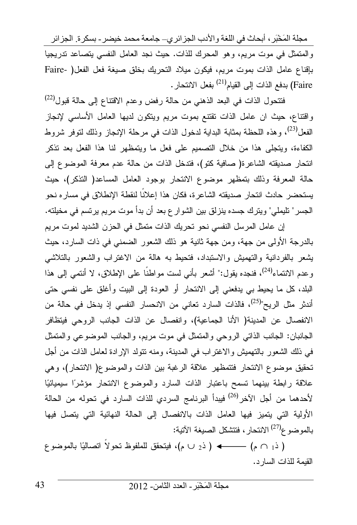مجلة المَخْبَرِ ، أبحاث في اللغة والأدب الجزائري\_ جامعة محمد خيضر ـ بسكرة الجزائر والمنمثل في موت مريع، وهو المحرك للذات. حيث نجد العامل النفسي يتصاعد ندريجيا بإقناع عامل الذات بموت مريم، فيكون ميلاد النحريك بخلق صيغة فعل الفعل( -Faire Faire) بدفع الذات إلى القيام<sup>(21)</sup> بفعل الانتحار .

فتتحول الذات في البعد الذهني من حالة رفض وعدم الاقتناع إلى حالة قبول<sup>(22)</sup> وافتناع، حيث ان عامل الذات نقتنع بموت مريع ويتكون لديها العامل الأساسي لإنجاز الفعل<sup>(23</sup>)، وهذه اللحظة بمثابة البداية لدخول الذات في مرحلة الإنجاز وذلك لنوفر شروط الكفاءة، ويتجلَّى هذا من خلال النصميم على فعل ما ويتمظَّهر لنا هذا الفعل بعد تذكر انتحار صديقته الشاعرة( صافية كتو)، فتدخل الذات من حالة عدم معرفة الموضوع إلى حالة المعرفة وذلك بتمظهر موضوع الانتحار بوجود العامل المساعد( التذكر)، حيث يستحضر حادث انتحار صديقته الشاعرة، فكان هذا إعلانًا لنقطة الإنطلاق في مساره نحو الجسر " تليملي" ويترك جسده ينزلق بين الشوار ع بعد أن بدأ موت مريم يرتسم في مخيلته.

إن عامل المرسل النفسي نحو تحريك الذات متمثل في الحزن الشديد لموت مريم بالدرجة الأولى من جهة، ومن جهة ثانية هو ذلك الشعور الضمني في ذات السارد، حيث يشعر بالفردانية والتهميش والاستبداد، فتحيط به هالة من الاغتراب والشعور بالتلاشي و عدم الانتماء<sup>(24)</sup>، فنجده يقول:" أشعر بأني لست مو اطنًا على الإطلاق، لا أنتمي إلى هذا البلد، كل ما يحيط بي يدفعني إلى الانتحار أو العودة إلى البيت وأغلق على نفسى حتى أندثر مثل الريح"<sup>(25)</sup>، فالذات السارد تعانى من الانحسار النفسى إذ يدخل في حالة من الانفصال عن المدينة( الأنا الجماعية)، وانفصال عن الذات الجانب الروحي فيتظافر الجانبان: الجانب الذاتي الروحي والمتمثل في موت مريم، والجانب الموضوعي والمتمثل في ذلك الشعور بالتهميش والاغتراب في المدينة، ومنه نتولد الإرادة لعامل الذات من أجل تحقيق موضوع الانتحار فتتمظهر علاقة الرغبة بين الذات والموضوع( الانتحار)، وهي علاقة رابطة بينهما تسمح باعتبار الذات السارد والموضوع الانتحار مؤشرًا سيميائيًا لأحدهما من أجل الآخر<sup>(26)</sup> فيبدأ البرنامج السردي للذات السارد في تحوله من الحالة الأولية التي يتميز فيها العامل الذات بالانفصال إلى الحالة النهائية التي يتصل فيها بالموضوع<sup>(27)</sup> الانتحار ، فتتشكل الصيغة الآتية:

( ذ<sub>1</sub> ∩ م) —— ♦ ( ذر ∪ م)، فيتحقق للملفوظ نحولاً اتصاليًا بالموضوع القيمة للذات السارد.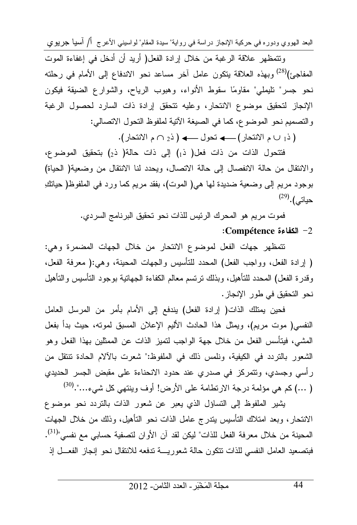البعد الهووي ودوره في حركية الإنجاز دراسة في رواية" سيدة المقام" لواسيني الأعرج أ/ آسيا جريوي

وتتمظهر علاقة الرغبة من خلال إرادة الفعل( أريد أن أدخل في إغفاءة الموت المفاجئ)<sup>(28)</sup> وبهذه العلاقة يتكون عامل آخر مساعد نحو الاندفاع إلى الأمام في رحلته نحو جسر" نليملي" مقاومًا سقوط الأنواء، وهبوب الرياح، والشوارع الضيقة فيكون الإنجاز لتحقيق موضوع الانتحار، وعليه نتحقق إرادة ذات السارد لحصول الرغبة والتصميم نحو الموضوع، كما في الصيغة الآتية لملفوظ التحول الاتصالي:

فتتحول الذات من ذات فعل( ذ1) إلى ذات حالة( ذ2) بتحقيق الموضوع، والانتقال من حالة الانفصال إلى حالة الاتصال، ويحدد لنا الانتقال من وضعية( الحياة) بوجود مريع إلى وضعية ضديدة لها هي( الموت)، بفقد مريع كما ورد في الملفوظ( حياتكِ  $^{(29)}$ . حياتي)

> فموت مريم هو المحرك الرئيس للذات نحو تحقيق البرنامج السردي. :Compétence الكفاءة Compétence

نتمظهر جهات الفعل لموضوع الانتحار من خلال الجهات المضمرة وهي: ( إرادة الفعل، وواجب الفعل) المحدد للنأسيس والجهات المحينة، وهي:( معرفة الفعل، وقدرة الفعل) المحدد للنأهيل، وبذلك نرتسم معالم الكفاءة الجهانية بوجود النأسيس والنأهيل نحو التحقيق في طور الإنجاز .

فحين يمتلك الذات( إرادة الفعل) يندفع إلى الأمام بأمر من المرسل العامل النفسي( موت مريم)، ويمثل هذا الحادث الأليم الإعلان المسبق لمونه، حيث بدأ بفعل المشـي، فيتأسس الفعل من خلال جهة الواجب لتميز الذات عن الممثلين بـهذا الفعل وهو الشعور بالتردد في الكيفية، ونلمس ذلك في الملفوظ:" شعرت بالآلام الحادة نتنقل من رأسي وجسدي، ونتمركز في صدري عند حدود الانحناءة على مقبض الجسر الحديدي ( …) كم هي مؤلمة درجة الارتطامة على الأرض! أوف وينتهي كل شيء…".<sup>(30)</sup>

يشير الملفوظ إلى التساؤل الذي يعبر عن شعور الذات بالتردد نحو موضوع الانتحار، وبعد امتلاك التأسيس بتدرج عامل الذات نحو التأهيل، وذلك من خلال الجهات المحينة من خلال معرفة الفعل للذات" ليكن لقد آن الأوان لتصفية حسابي مع نفسي"<sup>(31)</sup>. فبتصعيد العامل النفسي للذات نتكون حالة شعوريسة ندفعه للانتقال نحو إنجاز الفعـــل إذ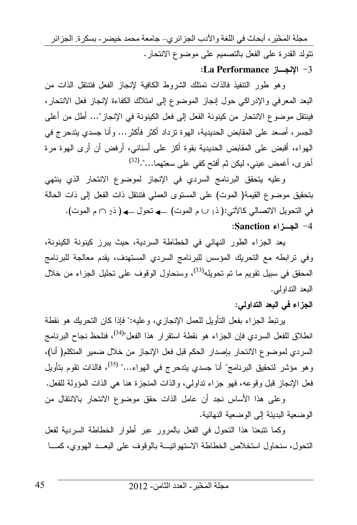مجلة المَخْبَرِ ، أبحاث في اللغة والأدب الجزائري\_ جامعة محمد خيضر ـ بسكرة ِ الجزائر نتولد القدرة على الفعل بالتصميع على موضوع الانتحار.

:La Performance ألإنجـــاز -1

وهو طور التتفيذ فالذات تمتلك الشروط الكافية لإنجاز الفعل فتتتقل الذات من البعد المعرفي والإدراكي حول إنجاز الموضوع إلى امتلاك الكفاءة لإنجاز فعل الانتحار، فينتقل مو ضوع الانتحار ٍ من كينونة الفعل إلى فعل الكينونة في الإنجاز "… أطل من أعلى الجسر، أصعد على المقابض الحديدية، الـهوة نزداد أكثر فأكثر… وأنا جسدي يتدحرج في المهواء، أقبض على المقابض الحديدية بقوة أكز على أسناني، أرفض أن أرى الهوة مرة أخرى، أغمض عيني، ليكن ثم أفتح كفي على سعتهما...".<sup>(32)</sup>

و عليه يتحقق البرنامج السردي في الإنجاز لموضوع الانتحار الذي ينتهي بتحقيق موضوع القيمة( الموت) على المستوى العملي فتتتقل ذات الفعل إلى ذات الحالة 4- الجسزاء Sanction:

يعد الجزاء الطور النهائي في الخطاطة السريبة، حيث بيرز كينونة الكينونة، وفي نرابطه مع التحريك المؤسس للبرنامج السردي المستهدف، يقدم معالجة للبرنامج المحقق في سبيل تقويم ما تم تحويله<sup>(33)</sup>، وسنحاول الوقوف على تحليل الجزاء من خلال البعد النداولبي.

الجزاء في البعد التداولي:

برِتبط الجزاء بفعل التأويل للعمل الإنجازي، وعليه:" فإذا كان التحريك هو نقطة انطلاق للفعل السردي فإن الجزاء هو نقطة استقرار هذا الفعل"<sup>(34)</sup>، فنلحظ نجاح البرنامج السردي لموضوع الانتحار بإصدار الحكم قبل فعل الإنجاز من خلال ضمير المتكلم( أنا)، وهو مؤشر لتحقيق البرنامج" أنا جسدي يتدحرج في الهواء..." <sup>(35)</sup>، فالذات تقوم بتأويل فعل الإنجاز قبل وقو عه، فهو جزاء تداولي، والذات المنجزة هنا هي الذات المؤولة للفعل.

وعلى هذا الأساس نجد أن عامل الذات حقق موضوع الانتحار بالانتقال من الو ضعية البديئة إلى الو ضعية النهائية.

وكما نتبعنا هذا النحول في الفعل بالمرور عبر أطوار الخطاطة السردية لفعل النحول، سنحاول استخلاص الخطاطة الاستهو ائيسة بالوقوف على البعــد الهووى، كمـــا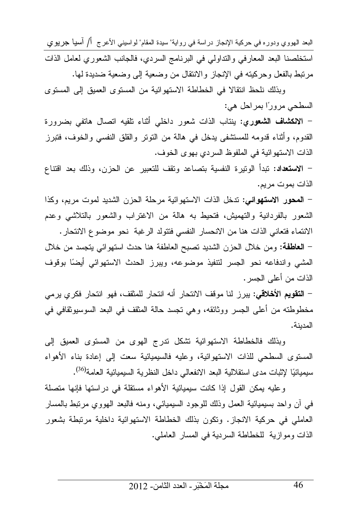البعد الهووي ودوره في حركية الإنجاز دراسة في رواية" سيدة المقام" لواسيني الأعرج أ/ آسيا جريوي استخلصنا البعد المعارفي والنداولي في البرنامج السردي، فالجانب الشعوري لعامل الذات مرتبط بالفعل وحركيته في الإنجاز والانتقال من وضعية إلى وضعية ضديدة لها.

وبذلك نلحظ انتقالا في الخطاطة الاستهوائية من المستوى العميق إلى المستوى السطحي مرورًا بمراحل هي:

– ا**لانكشاف الشعورى:** ينتاب الذات شعور داخلي أثناء نلقيه اتصال هاتفي بضرورة القدوم، وأثناء قدومه للمستثنفي يدخل في هالة من النوتر والقلق النفسي والخوف، فتبرز الذات الاستهو ائية في الملفوظ السر دي بهو ي الخو ف.

– ا**لاستعداد**: تبدأ الونيرة النفسية بتصاعد وتقف للتعبير عن الحزن، وذلك بعد افتناع الذات بموت مريم.

– ا**لمحور الاستهوائي**: تدخل الذات الاستهوائية مرحلة الحزن الشديد لموت مريم، وكذا الشعور بالفردانية والتهميش، فتحيط به هالة من الاغتراب والشعور بالتلاشي وعدم الانتماء فتعاني الذات هنا من الانحسار النفسي فتتولد الرغبة نحو موضوع الانتحار .

– ا**لعاطفة**: ومن خلال الحزن الشديد نصبح العاطفة هنا حدث استهوائي يتجسد من خلال المشي واندفاعه نحو الجسر لتتفيذ موضوعه، ويبرز الحدث الاستهوائي أيضًا بوقوف الذات من أعلى الجسر .

– ا**لتقويم الأخلاقي:** بير ز لنا موقف الانتحار أنه انتحار للمثقف، فهو انتحار فكر ي بر مي مخطوطته من أعلى الجسر ووثائقه، وهي نجسد حالة المثقف في البعد السوسبوثقافي في المدبنة.

وبذلك فالخطاطة الاستهوائية نشكل ندرج الهوى من المستوى العميق إلى المسنوى السطحي للذات الاستهوائية، وعليه فالسيميائية سعت إلى إعادة بناء الأهواء سيميائيًا لإثبات مدى استقلالية البعد الانفعال<sub>ى</sub> داخل النظرية السيميائية العامة<sup>(36</sup>).

و عليه يمكن القول إذا كانت سيميائية الأهواء مستقلة في در استها فإنها متصلة في أن واحد بسيميائية العمل وذلك للوجود السيميائي، ومنه فالبعد الهووي مرنبط بالمسار العاملي في حركية الانجاز. وتكون بذلك الخطاطة الاستهوائية داخلية مرتبطة بشعور الذات وموازية للخطاطة السردية في المسار العاملي.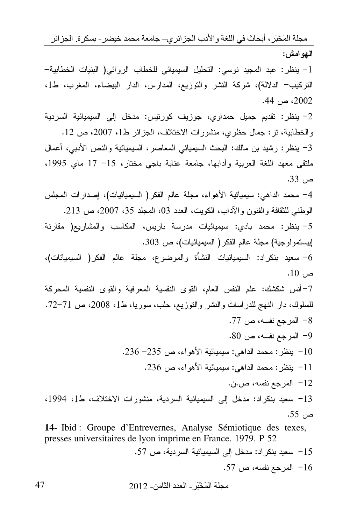مجلَّة المَخْبَرِ ، أبحاث في اللُّغة والأدب الجز ائر ي– جامعة محمد خيضر ـ بسكر ة ِ الجز ائر الـهوامش:

1– ينظر: عبد المجيد نوسي: التحليل السيميائي للخطاب الروائي( البنيات الخطابية– التركيب– الدلالة)، شركة النشر والتوزيع، المدارس، الدار البيضاء، المغرب، ط1، 2002، ص 44.

2- ينظر: تقديم جميل حمداوي، جوزيف كورنيس: مدخل إلى السيميائية السردية والخطابية، نر: جمال حظري، منشورات الاختلاف، الجزائر ط1، 2007، ص 12. 3– ينظر: رشيد بن مالك: البحث السيميائي المعاصر، السيميائية والنص الأدبى، أعمال ملتقى معهد اللغة العربية وأدابها، جامعة عنابة باجي مختار، 15– 17 ماي 1995، ص 33.

4– محمد الداهي: سيميائية الأهواء، مجلة عالم الفكر( السيميائيات)، إصدارات المجلس الوطني للثقافة والفنون والأداب، الكويت، العدد 03، المعلد 35، 2007، ص 213.

5- ينظر: محمد بادي: سيميائيات مدرسة باريس، المكاسب والمشاريع( مقارنة إبيستمولوجية) مجلة عالم الفكر ( السيميائيات)، ص 303.

6– سعيد بنكراد: السيميائيات النشأة والموضوع، مجلة عالم الفكر( السيميائات)،  $.10\,$ ص

7-أنس شكشك: علم النفس العام، القوى النفسية المعرفية والقوى النفسية المحركة للسلوك، دار النهج للدراسات والنشر والنوزيع، حلب، سوريا، ط1، 2008، ص 71–72. 8– المرجع نفسه، ص 77. 9- المرجع نفسه، ص 80.

10- ينظر: محمد الداهي: سيميائية الأهواء، ص 235- 236. 11– ينظر : محمد الداهي: سيميائية الأهواء، ص 236.

12– المرجع نفسه، ص.ن.

13– سعيد بنكراد: مدخل إلى السيميائية السردية، منشورات الاختلاف، ط1، 1994، ص 55.

14- Ibid : Groupe d'Entrevernes, Analyse Sémiotique des texes, presses universitaires de lyon imprime en France. 1979. P 52